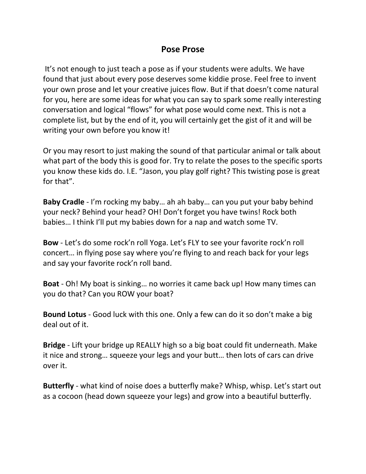## **Pose Prose**

It's not enough to just teach a pose as if your students were adults. We have found that just about every pose deserves some kiddie prose. Feel free to invent your own prose and let your creative juices flow. But if that doesn't come natural for you, here are some ideas for what you can say to spark some really interesting conversation and logical "flows" for what pose would come next. This is not a complete list, but by the end of it, you will certainly get the gist of it and will be writing your own before you know it!

Or you may resort to just making the sound of that particular animal or talk about what part of the body this is good for. Try to relate the poses to the specific sports you know these kids do. I.E. "Jason, you play golf right? This twisting pose is great for that".

**Baby Cradle** - I'm rocking my baby… ah ah baby… can you put your baby behind your neck? Behind your head? OH! Don't forget you have twins! Rock both babies… I think I'll put my babies down for a nap and watch some TV.

**Bow** - Let's do some rock'n roll Yoga. Let's FLY to see your favorite rock'n roll concert… in flying pose say where you're flying to and reach back for your legs and say your favorite rock'n roll band.

**Boat** - Oh! My boat is sinking… no worries it came back up! How many times can you do that? Can you ROW your boat?

**Bound Lotus** - Good luck with this one. Only a few can do it so don't make a big deal out of it.

**Bridge** - Lift your bridge up REALLY high so a big boat could fit underneath. Make it nice and strong… squeeze your legs and your butt… then lots of cars can drive over it.

**Butterfly** - what kind of noise does a butterfly make? Whisp, whisp. Let's start out as a cocoon (head down squeeze your legs) and grow into a beautiful butterfly.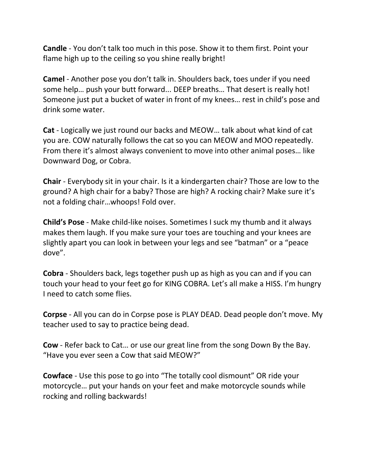**Candle** - You don't talk too much in this pose. Show it to them first. Point your flame high up to the ceiling so you shine really bright!

**Camel** - Another pose you don't talk in. Shoulders back, toes under if you need some help… push your butt forward... DEEP breaths… That desert is really hot! Someone just put a bucket of water in front of my knees… rest in child's pose and drink some water.

**Cat** - Logically we just round our backs and MEOW… talk about what kind of cat you are. COW naturally follows the cat so you can MEOW and MOO repeatedly. From there it's almost always convenient to move into other animal poses… like Downward Dog, or Cobra.

**Chair** - Everybody sit in your chair. Is it a kindergarten chair? Those are low to the ground? A high chair for a baby? Those are high? A rocking chair? Make sure it's not a folding chair…whoops! Fold over.

**Child's Pose** - Make child-like noises. Sometimes I suck my thumb and it always makes them laugh. If you make sure your toes are touching and your knees are slightly apart you can look in between your legs and see "batman" or a "peace dove".

**Cobra** - Shoulders back, legs together push up as high as you can and if you can touch your head to your feet go for KING COBRA. Let's all make a HISS. I'm hungry I need to catch some flies.

**Corpse** - All you can do in Corpse pose is PLAY DEAD. Dead people don't move. My teacher used to say to practice being dead.

**Cow** - Refer back to Cat… or use our great line from the song Down By the Bay. "Have you ever seen a Cow that said MEOW?"

**Cowface** - Use this pose to go into "The totally cool dismount" OR ride your motorcycle… put your hands on your feet and make motorcycle sounds while rocking and rolling backwards!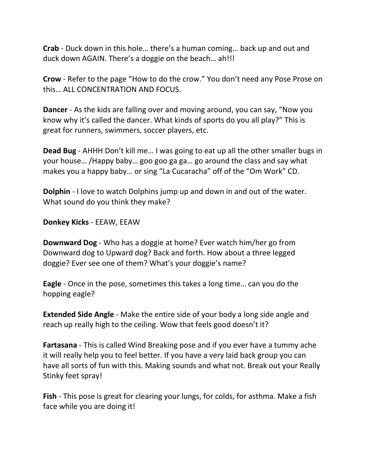**Crab** - Duck down in this hole… there's a human coming… back up and out and duck down AGAIN. There's a doggie on the beach… ah!!!

**Crow** - Refer to the page "How to do the crow." You don't need any Pose Prose on this… ALL CONCENTRATION AND FOCUS.

**Dancer** - As the kids are falling over and moving around, you can say, "Now you know why it's called the dancer. What kinds of sports do you all play?" This is great for runners, swimmers, soccer players, etc.

**Dead Bug** - AHHH Don't kill me… I was going to eat up all the other smaller bugs in your house… /Happy baby… goo goo ga ga… go around the class and say what makes you a happy baby… or sing "La Cucaracha" off of the "Om Work" CD.

**Dolphin** - I love to watch Dolphins jump up and down in and out of the water. What sound do you think they make?

**Donkey Kicks** - EEAW, EEAW

**Downward Dog** - Who has a doggie at home? Ever watch him/her go from Downward dog to Upward dog? Back and forth. How about a three legged doggie? Ever see one of them? What's your doggie's name?

**Eagle** - Once in the pose, sometimes this takes a long time… can you do the hopping eagle?

**Extended Side Angle** - Make the entire side of your body a long side angle and reach up really high to the ceiling. Wow that feels good doesn't it?

**Fartasana** - This is called Wind Breaking pose and if you ever have a tummy ache it will really help you to feel better. If you have a very laid back group you can have all sorts of fun with this. Making sounds and what not. Break out your Really Stinky feet spray!

**Fish** - This pose is great for clearing your lungs, for colds, for asthma. Make a fish face while you are doing it!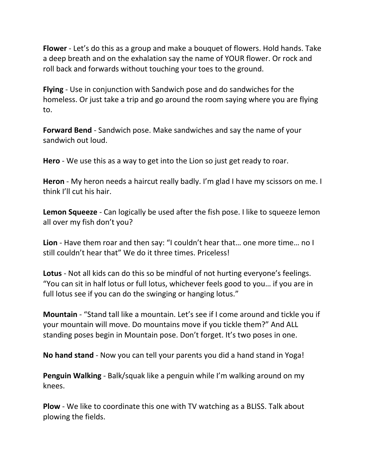**Flower** - Let's do this as a group and make a bouquet of flowers. Hold hands. Take a deep breath and on the exhalation say the name of YOUR flower. Or rock and roll back and forwards without touching your toes to the ground.

**Flying** - Use in conjunction with Sandwich pose and do sandwiches for the homeless. Or just take a trip and go around the room saying where you are flying to.

**Forward Bend** - Sandwich pose. Make sandwiches and say the name of your sandwich out loud.

**Hero** - We use this as a way to get into the Lion so just get ready to roar.

**Heron** - My heron needs a haircut really badly. I'm glad I have my scissors on me. I think I'll cut his hair.

**Lemon Squeeze** - Can logically be used after the fish pose. I like to squeeze lemon all over my fish don't you?

**Lion** - Have them roar and then say: "I couldn't hear that… one more time… no I still couldn't hear that" We do it three times. Priceless!

**Lotus** - Not all kids can do this so be mindful of not hurting everyone's feelings. "You can sit in half lotus or full lotus, whichever feels good to you… if you are in full lotus see if you can do the swinging or hanging lotus."

**Mountain** - "Stand tall like a mountain. Let's see if I come around and tickle you if your mountain will move. Do mountains move if you tickle them?" And ALL standing poses begin in Mountain pose. Don't forget. It's two poses in one.

**No hand stand** - Now you can tell your parents you did a hand stand in Yoga!

**Penguin Walking** - Balk/squak like a penguin while I'm walking around on my knees.

**Plow** - We like to coordinate this one with TV watching as a BLISS. Talk about plowing the fields.